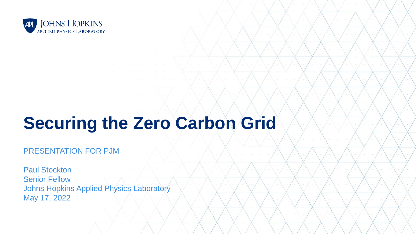

# **Securing the Zero Carbon Grid**

#### PRESENTATION FOR PJM

Paul Stockton Senior Fellow Johns Hopkins Applied Physics Laboratory May 17, 2022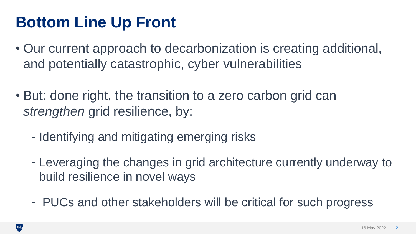#### **Bottom Line Up Front**

- Our current approach to decarbonization is creating additional, and potentially catastrophic, cyber vulnerabilities
- But: done right, the transition to a zero carbon grid can *strengthen* grid resilience, by:
	- Identifying and mitigating emerging risks
	- Leveraging the changes in grid architecture currently underway to build resilience in novel ways
	- PUCs and other stakeholders will be critical for such progress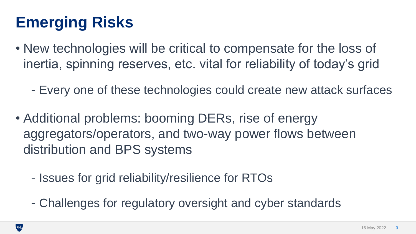## **Emerging Risks**

- New technologies will be critical to compensate for the loss of inertia, spinning reserves, etc. vital for reliability of today's grid
	- Every one of these technologies could create new attack surfaces
- Additional problems: booming DERs, rise of energy aggregators/operators, and two-way power flows between distribution and BPS systems
	- Issues for grid reliability/resilience for RTOs
	- Challenges for regulatory oversight and cyber standards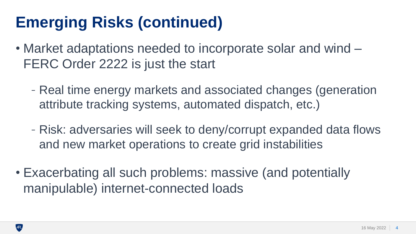### **Emerging Risks (continued)**

- Market adaptations needed to incorporate solar and wind FERC Order 2222 is just the start
	- Real time energy markets and associated changes (generation attribute tracking systems, automated dispatch, etc.)
	- Risk: adversaries will seek to deny/corrupt expanded data flows and new market operations to create grid instabilities
- Exacerbating all such problems: massive (and potentially manipulable) internet-connected loads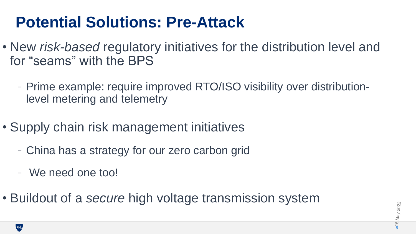#### **Potential Solutions: Pre-Attack**

- New *risk-based* regulatory initiatives for the distribution level and for "seams" with the BPS
	- Prime example: require improved RTO/ISO visibility over distributionlevel metering and telemetry
- Supply chain risk management initiatives
	- China has a strategy for our zero carbon grid
	- We need one too!
- Buildout of a *secure* high voltage transmission system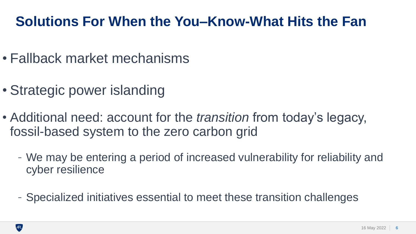#### **Solutions For When the You–Know-What Hits the Fan**

- Fallback market mechanisms
- Strategic power islanding
- Additional need: account for the *transition* from today's legacy, fossil-based system to the zero carbon grid
	- We may be entering a period of increased vulnerability for reliability and cyber resilience
	- Specialized initiatives essential to meet these transition challenges